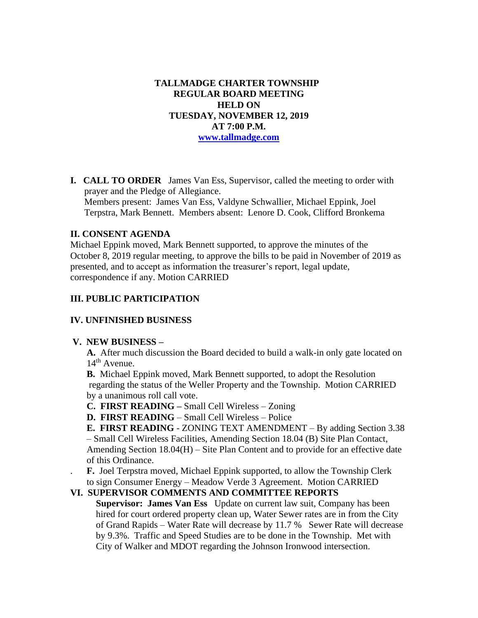# **TALLMADGE CHARTER TOWNSHIP REGULAR BOARD MEETING HELD ON TUESDAY, NOVEMBER 12, 2019 AT 7:00 P.M. [www.tallmadge.com](http://www.tallmadge.com/)**

**I. CALL TO ORDER** James Van Ess, Supervisor, called the meeting to order with prayer and the Pledge of Allegiance. Members present: James Van Ess, Valdyne Schwallier, Michael Eppink, Joel Terpstra, Mark Bennett. Members absent: Lenore D. Cook, Clifford Bronkema

## **II. CONSENT AGENDA**

Michael Eppink moved, Mark Bennett supported, to approve the minutes of the October 8, 2019 regular meeting, to approve the bills to be paid in November of 2019 as presented, and to accept as information the treasurer's report, legal update, correspondence if any. Motion CARRIED

## **III. PUBLIC PARTICIPATION**

#### **IV. UNFINISHED BUSINESS**

#### **V. NEW BUSINESS –**

 **A.** After much discussion the Board decided to build a walk-in only gate located on  $14<sup>th</sup>$  Avenue.

 **B.** Michael Eppink moved, Mark Bennett supported, to adopt the Resolution regarding the status of the Weller Property and the Township. Motion CARRIED by a unanimous roll call vote.

**C. FIRST READING –** Small Cell Wireless – Zoning

**D. FIRST READING** – Small Cell Wireless – Police

 **E. FIRST READING** - ZONING TEXT AMENDMENT – By adding Section 3.38 – Small Cell Wireless Facilities, Amending Section 18.04 (B) Site Plan Contact, Amending Section 18.04(H) – Site Plan Content and to provide for an effective date of this Ordinance.

. **F.** Joel Terpstra moved, Michael Eppink supported, to allow the Township Clerk to sign Consumer Energy – Meadow Verde 3 Agreement. Motion CARRIED

#### **VI. SUPERVISOR COMMENTS AND COMMITTEE REPORTS**

 **Supervisor: James Van Ess** Update on current law suit, Company has been hired for court ordered property clean up, Water Sewer rates are in from the City of Grand Rapids – Water Rate will decrease by 11.7 % Sewer Rate will decrease by 9.3%. Traffic and Speed Studies are to be done in the Township. Met with City of Walker and MDOT regarding the Johnson Ironwood intersection.